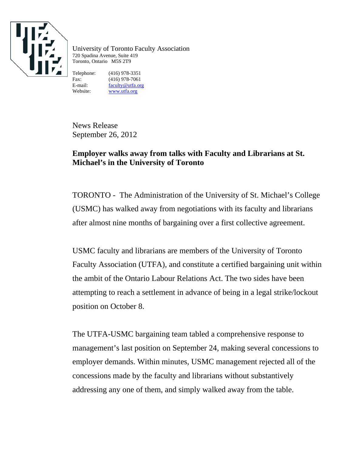

University of Toronto Faculty Association 720 Spadina Avenue, Suite 419 Toronto, Ontario M5S 2T9

Telephone: (416) 978-3351 Fax: (416) 978-7061<br>E-mail: faculty@utfa.org faculty@utfa.org Website: www.utfa.org

News Release September 26, 2012

## **Employer walks away from talks with Faculty and Librarians at St. Michael's in the University of Toronto**

TORONTO - The Administration of the University of St. Michael's College (USMC) has walked away from negotiations with its faculty and librarians after almost nine months of bargaining over a first collective agreement.

USMC faculty and librarians are members of the University of Toronto Faculty Association (UTFA), and constitute a certified bargaining unit within the ambit of the Ontario Labour Relations Act. The two sides have been attempting to reach a settlement in advance of being in a legal strike/lockout position on October 8.

The UTFA-USMC bargaining team tabled a comprehensive response to management's last position on September 24, making several concessions to employer demands. Within minutes, USMC management rejected all of the concessions made by the faculty and librarians without substantively addressing any one of them, and simply walked away from the table.